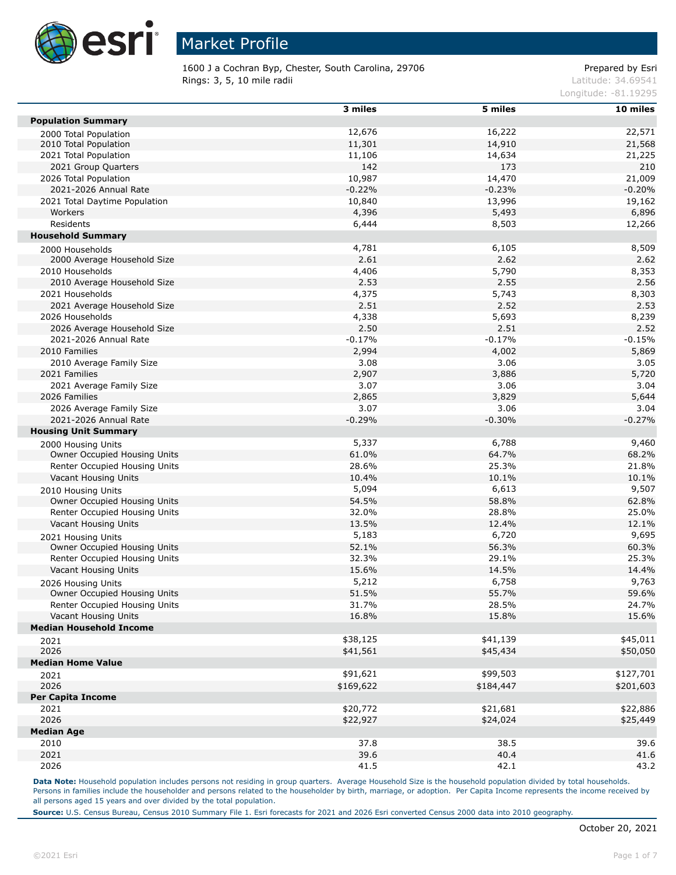

1600 J a Cochran Byp, Chester, South Carolina, 29706 Prepared by Esri **Rings: 3, 5, 10 mile radii** Latitude: 34.69541

Longitude: -81.19295

|                                | 3 miles   | 5 miles   | 10 miles  |
|--------------------------------|-----------|-----------|-----------|
| <b>Population Summary</b>      |           |           |           |
| 2000 Total Population          | 12,676    | 16,222    | 22,571    |
| 2010 Total Population          | 11,301    | 14,910    | 21,568    |
| 2021 Total Population          | 11,106    | 14,634    | 21,225    |
| 2021 Group Quarters            | 142       | 173       | 210       |
| 2026 Total Population          | 10,987    | 14,470    | 21,009    |
| 2021-2026 Annual Rate          | $-0.22%$  | $-0.23%$  | $-0.20%$  |
| 2021 Total Daytime Population  | 10,840    | 13,996    | 19,162    |
| Workers                        | 4,396     | 5,493     | 6,896     |
| Residents                      | 6,444     | 8,503     | 12,266    |
| <b>Household Summary</b>       |           |           |           |
| 2000 Households                | 4,781     | 6,105     | 8,509     |
| 2000 Average Household Size    | 2.61      | 2.62      | 2.62      |
| 2010 Households                | 4,406     | 5,790     | 8,353     |
| 2010 Average Household Size    | 2.53      | 2.55      | 2.56      |
| 2021 Households                | 4,375     | 5,743     | 8,303     |
| 2021 Average Household Size    | 2.51      | 2.52      | 2.53      |
| 2026 Households                | 4,338     | 5,693     | 8,239     |
| 2026 Average Household Size    | 2.50      | 2.51      | 2.52      |
| 2021-2026 Annual Rate          |           | $-0.17%$  |           |
|                                | $-0.17%$  |           | $-0.15%$  |
| 2010 Families                  | 2,994     | 4,002     | 5,869     |
| 2010 Average Family Size       | 3.08      | 3.06      | 3.05      |
| 2021 Families                  | 2,907     | 3,886     | 5,720     |
| 2021 Average Family Size       | 3.07      | 3.06      | 3.04      |
| 2026 Families                  | 2,865     | 3,829     | 5,644     |
| 2026 Average Family Size       | 3.07      | 3.06      | 3.04      |
| 2021-2026 Annual Rate          | $-0.29%$  | $-0.30%$  | $-0.27%$  |
| <b>Housing Unit Summary</b>    |           |           |           |
| 2000 Housing Units             | 5,337     | 6,788     | 9,460     |
| Owner Occupied Housing Units   | 61.0%     | 64.7%     | 68.2%     |
| Renter Occupied Housing Units  | 28.6%     | 25.3%     | 21.8%     |
| Vacant Housing Units           | 10.4%     | 10.1%     | 10.1%     |
| 2010 Housing Units             | 5,094     | 6,613     | 9,507     |
| Owner Occupied Housing Units   | 54.5%     | 58.8%     | 62.8%     |
| Renter Occupied Housing Units  | 32.0%     | 28.8%     | 25.0%     |
| Vacant Housing Units           | 13.5%     | 12.4%     | 12.1%     |
| 2021 Housing Units             | 5,183     | 6,720     | 9,695     |
| Owner Occupied Housing Units   | 52.1%     | 56.3%     | 60.3%     |
| Renter Occupied Housing Units  | 32.3%     | 29.1%     | 25.3%     |
| Vacant Housing Units           | 15.6%     | 14.5%     | 14.4%     |
| 2026 Housing Units             | 5,212     | 6,758     | 9,763     |
| Owner Occupied Housing Units   | 51.5%     | 55.7%     | 59.6%     |
| Renter Occupied Housing Units  | 31.7%     | 28.5%     | 24.7%     |
| Vacant Housing Units           | 16.8%     | 15.8%     | 15.6%     |
| <b>Median Household Income</b> |           |           |           |
| 2021                           | \$38,125  | \$41,139  | \$45,011  |
| 2026                           | \$41,561  | \$45,434  | \$50,050  |
| <b>Median Home Value</b>       |           |           |           |
| 2021                           | \$91,621  | \$99,503  | \$127,701 |
| 2026                           | \$169,622 | \$184,447 | \$201,603 |
| <b>Per Capita Income</b>       |           |           |           |
| 2021                           | \$20,772  | \$21,681  | \$22,886  |
| 2026                           | \$22,927  | \$24,024  | \$25,449  |
| <b>Median Age</b>              |           |           |           |
| 2010                           | 37.8      | 38.5      | 39.6      |
| 2021                           | 39.6      | 40.4      | 41.6      |
|                                |           |           |           |
| 2026                           | 41.5      | 42.1      | 43.2      |

Data Note: Household population includes persons not residing in group quarters. Average Household Size is the household population divided by total households. Persons in families include the householder and persons related to the householder by birth, marriage, or adoption. Per Capita Income represents the income received by all persons aged 15 years and over divided by the total population.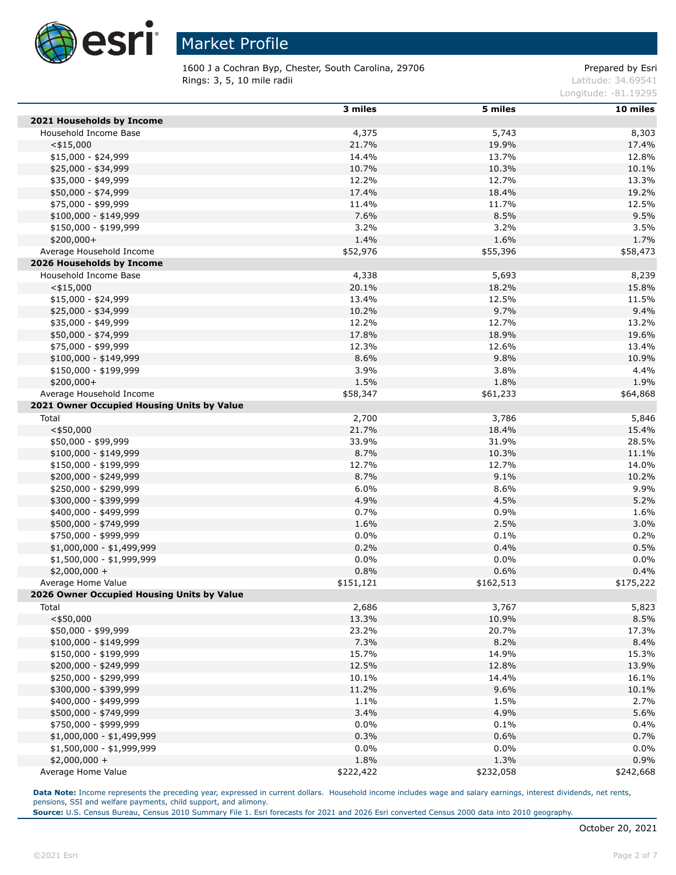

1600 J a Cochran Byp, Chester, South Carolina, 29706 Prepared by Esri **Rings: 3, 5, 10 mile radii** Latitude: 34.69541

Longitude: -81.19295

|                                            | 3 miles   | 5 miles   | 10 miles  |
|--------------------------------------------|-----------|-----------|-----------|
| 2021 Households by Income                  |           |           |           |
| Household Income Base                      | 4,375     | 5,743     | 8,303     |
| $<$ \$15,000                               | 21.7%     | 19.9%     | 17.4%     |
| $$15,000 - $24,999$                        | 14.4%     | 13.7%     | 12.8%     |
| \$25,000 - \$34,999                        | 10.7%     | 10.3%     | 10.1%     |
| \$35,000 - \$49,999                        | 12.2%     | 12.7%     | 13.3%     |
| \$50,000 - \$74,999                        | 17.4%     | 18.4%     | 19.2%     |
| \$75,000 - \$99,999                        | 11.4%     | 11.7%     | 12.5%     |
| \$100,000 - \$149,999                      | 7.6%      | 8.5%      | 9.5%      |
| \$150,000 - \$199,999                      | 3.2%      | 3.2%      | 3.5%      |
| $$200,000+$                                | 1.4%      | 1.6%      | 1.7%      |
| Average Household Income                   | \$52,976  | \$55,396  | \$58,473  |
| 2026 Households by Income                  |           |           |           |
| Household Income Base                      | 4,338     | 5,693     | 8,239     |
| $<$ \$15,000                               | 20.1%     | 18.2%     | 15.8%     |
| $$15,000 - $24,999$                        | 13.4%     | 12.5%     | 11.5%     |
| \$25,000 - \$34,999                        | 10.2%     | 9.7%      | 9.4%      |
| \$35,000 - \$49,999                        | 12.2%     | 12.7%     | 13.2%     |
| \$50,000 - \$74,999                        | 17.8%     | 18.9%     | 19.6%     |
| \$75,000 - \$99,999                        | 12.3%     | 12.6%     | 13.4%     |
| $$100,000 - $149,999$                      | 8.6%      | 9.8%      | 10.9%     |
| \$150,000 - \$199,999                      | 3.9%      | 3.8%      | 4.4%      |
| \$200,000+                                 | 1.5%      | 1.8%      | 1.9%      |
| Average Household Income                   | \$58,347  | \$61,233  | \$64,868  |
| 2021 Owner Occupied Housing Units by Value |           |           |           |
| Total                                      | 2,700     | 3,786     | 5,846     |
| $<$ \$50,000                               | 21.7%     | 18.4%     | 15.4%     |
| \$50,000 - \$99,999                        | 33.9%     | 31.9%     | 28.5%     |
| $$100,000 - $149,999$                      | 8.7%      | 10.3%     | 11.1%     |
| \$150,000 - \$199,999                      | 12.7%     | 12.7%     | 14.0%     |
| \$200,000 - \$249,999                      | 8.7%      | 9.1%      | 10.2%     |
| \$250,000 - \$299,999                      | 6.0%      | 8.6%      | 9.9%      |
| \$300,000 - \$399,999                      | 4.9%      | 4.5%      | 5.2%      |
| \$400,000 - \$499,999                      | 0.7%      | 0.9%      | 1.6%      |
| \$500,000 - \$749,999                      | 1.6%      | 2.5%      | 3.0%      |
| \$750,000 - \$999,999                      | 0.0%      | 0.1%      | 0.2%      |
| \$1,000,000 - \$1,499,999                  | 0.2%      | 0.4%      | 0.5%      |
| \$1,500,000 - \$1,999,999                  | 0.0%      | 0.0%      | 0.0%      |
| $$2,000,000 +$                             | 0.8%      | 0.6%      | 0.4%      |
| Average Home Value                         | \$151,121 | \$162,513 | \$175,222 |
| 2026 Owner Occupied Housing Units by Value |           |           |           |
| Total                                      | 2,686     | 3,767     | 5,823     |
| $<$ \$50,000                               | 13.3%     | 10.9%     | 8.5%      |
| \$50,000 - \$99,999                        | 23.2%     | 20.7%     | 17.3%     |
| $$100,000 - $149,999$                      | 7.3%      | 8.2%      | 8.4%      |
| \$150,000 - \$199,999                      | 15.7%     | 14.9%     | 15.3%     |
| \$200,000 - \$249,999                      | 12.5%     | 12.8%     | 13.9%     |
| \$250,000 - \$299,999                      | 10.1%     | 14.4%     | 16.1%     |
| \$300,000 - \$399,999                      | 11.2%     | 9.6%      | 10.1%     |
| \$400,000 - \$499,999                      | 1.1%      | 1.5%      | 2.7%      |
| \$500,000 - \$749,999                      | 3.4%      | 4.9%      | 5.6%      |
| \$750,000 - \$999,999                      | 0.0%      | 0.1%      | 0.4%      |
| $$1,000,000 - $1,499,999$                  | 0.3%      | 0.6%      | 0.7%      |
| $$1,500,000 - $1,999,999$                  | 0.0%      | $0.0\%$   | 0.0%      |
| $$2,000,000 +$                             | 1.8%      | 1.3%      | 0.9%      |
| Average Home Value                         | \$222,422 | \$232,058 | \$242,668 |

Data Note: Income represents the preceding year, expressed in current dollars. Household income includes wage and salary earnings, interest dividends, net rents, pensions, SSI and welfare payments, child support, and alimony.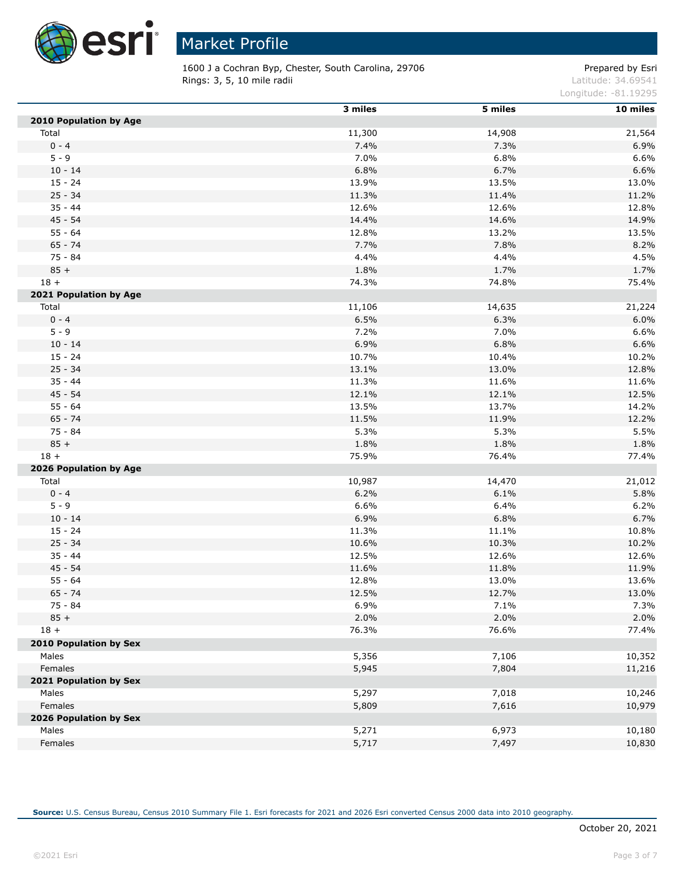

1600 J a Cochran Byp, Chester, South Carolina, 29706 Prepared by Esri **Rings: 3, 5, 10 mile radii** Latitude: 34.69541

Longitude: -81.19295

|                               | 3 miles | 5 miles | 10 miles |
|-------------------------------|---------|---------|----------|
| 2010 Population by Age        |         |         |          |
| Total                         | 11,300  | 14,908  | 21,564   |
| $0 - 4$                       | 7.4%    | 7.3%    | 6.9%     |
| $5 - 9$                       | 7.0%    | 6.8%    | 6.6%     |
| $10 - 14$                     | 6.8%    | 6.7%    | 6.6%     |
| $15 - 24$                     | 13.9%   | 13.5%   | 13.0%    |
| $25 - 34$                     | 11.3%   | 11.4%   | 11.2%    |
| $35 - 44$                     | 12.6%   | 12.6%   | 12.8%    |
| $45 - 54$                     | 14.4%   | 14.6%   | 14.9%    |
| $55 - 64$                     | 12.8%   | 13.2%   | 13.5%    |
| $65 - 74$                     | 7.7%    | 7.8%    | 8.2%     |
| 75 - 84                       | 4.4%    | 4.4%    | 4.5%     |
| $85 +$                        | 1.8%    | 1.7%    | 1.7%     |
| $18 +$                        | 74.3%   | 74.8%   | 75.4%    |
| 2021 Population by Age        |         |         |          |
| Total                         | 11,106  | 14,635  | 21,224   |
| $0 - 4$                       | 6.5%    | 6.3%    | 6.0%     |
| $5 - 9$                       | 7.2%    | 7.0%    | 6.6%     |
| $10 - 14$                     | 6.9%    | 6.8%    | 6.6%     |
| $15 - 24$                     | 10.7%   | 10.4%   | 10.2%    |
| $25 - 34$                     | 13.1%   | 13.0%   | 12.8%    |
| $35 - 44$                     | 11.3%   | 11.6%   | 11.6%    |
| 45 - 54                       | 12.1%   | 12.1%   | 12.5%    |
| $55 - 64$                     | 13.5%   | 13.7%   | 14.2%    |
| $65 - 74$                     | 11.5%   | 11.9%   | 12.2%    |
| $75 - 84$                     | 5.3%    | 5.3%    | 5.5%     |
| $85 +$                        | 1.8%    | 1.8%    | 1.8%     |
| $18 +$                        | 75.9%   | 76.4%   | 77.4%    |
| 2026 Population by Age        |         |         |          |
| Total                         | 10,987  | 14,470  | 21,012   |
| $0 - 4$                       | 6.2%    | 6.1%    | 5.8%     |
| $5 - 9$                       | 6.6%    | 6.4%    | 6.2%     |
| $10 - 14$                     | 6.9%    | 6.8%    | 6.7%     |
| $15 - 24$                     | 11.3%   | 11.1%   | 10.8%    |
| $25 - 34$                     | 10.6%   | 10.3%   | 10.2%    |
| $35 - 44$                     | 12.5%   | 12.6%   | 12.6%    |
| $45 - 54$                     | 11.6%   | 11.8%   | 11.9%    |
| $55 - 64$                     | 12.8%   | 13.0%   | 13.6%    |
| $65 - 74$                     | 12.5%   | 12.7%   | 13.0%    |
| 75 - 84                       | 6.9%    | 7.1%    | 7.3%     |
| $85 +$                        | 2.0%    | 2.0%    | 2.0%     |
| $18 +$                        | 76.3%   | 76.6%   | 77.4%    |
| <b>2010 Population by Sex</b> |         |         |          |
| Males                         | 5,356   | 7,106   | 10,352   |
| Females                       | 5,945   | 7,804   | 11,216   |
| 2021 Population by Sex        |         |         |          |
| Males                         | 5,297   | 7,018   | 10,246   |
| Females                       | 5,809   | 7,616   | 10,979   |
| 2026 Population by Sex        |         |         |          |
| Males                         | 5,271   | 6,973   | 10,180   |
| Females                       | 5,717   | 7,497   | 10,830   |

**Source:** U.S. Census Bureau, Census 2010 Summary File 1. Esri forecasts for 2021 and 2026 Esri converted Census 2000 data into 2010 geography.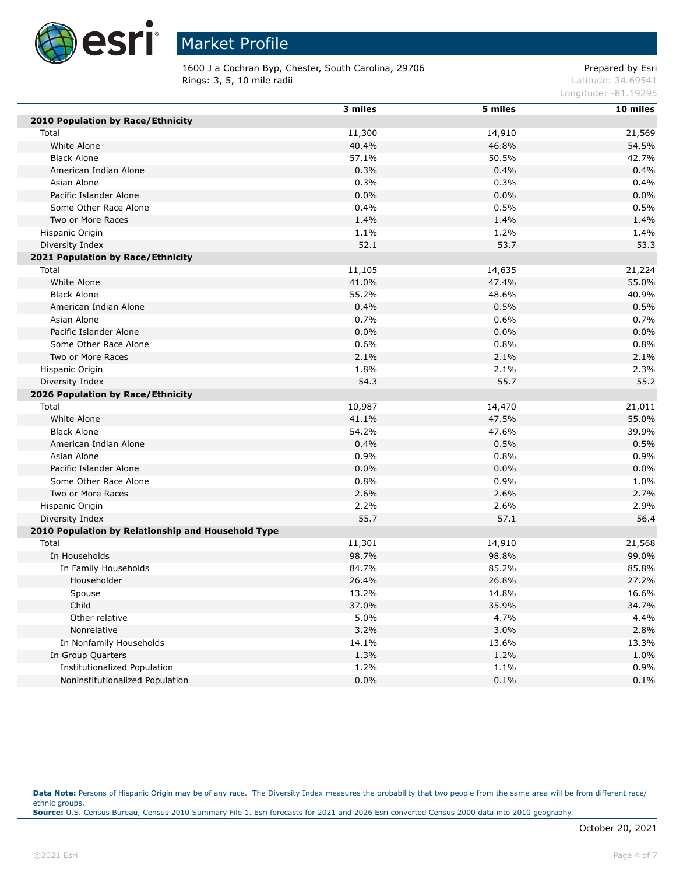

1600 J a Cochran Byp, Chester, South Carolina, 29706 Prepared by Esri **Rings: 3, 5, 10 mile radii** Latitude: 34.69541

Longitude: -81.19295

|                                                    | 3 miles | 5 miles | 10 miles |
|----------------------------------------------------|---------|---------|----------|
| 2010 Population by Race/Ethnicity                  |         |         |          |
| Total                                              | 11,300  | 14,910  | 21,569   |
| White Alone                                        | 40.4%   | 46.8%   | 54.5%    |
| <b>Black Alone</b>                                 | 57.1%   | 50.5%   | 42.7%    |
| American Indian Alone                              | 0.3%    | 0.4%    | 0.4%     |
| Asian Alone                                        | 0.3%    | 0.3%    | 0.4%     |
| Pacific Islander Alone                             | 0.0%    | 0.0%    | 0.0%     |
| Some Other Race Alone                              | 0.4%    | 0.5%    | 0.5%     |
| Two or More Races                                  | 1.4%    | 1.4%    | 1.4%     |
| Hispanic Origin                                    | 1.1%    | 1.2%    | 1.4%     |
| Diversity Index                                    | 52.1    | 53.7    | 53.3     |
| 2021 Population by Race/Ethnicity                  |         |         |          |
| Total                                              | 11,105  | 14,635  | 21,224   |
| White Alone                                        | 41.0%   | 47.4%   | 55.0%    |
| <b>Black Alone</b>                                 | 55.2%   | 48.6%   | 40.9%    |
| American Indian Alone                              | 0.4%    | 0.5%    | 0.5%     |
| Asian Alone                                        | 0.7%    | 0.6%    | 0.7%     |
| Pacific Islander Alone                             | 0.0%    | 0.0%    | 0.0%     |
| Some Other Race Alone                              | 0.6%    | 0.8%    | 0.8%     |
| Two or More Races                                  | 2.1%    | 2.1%    | 2.1%     |
| Hispanic Origin                                    | 1.8%    | 2.1%    | 2.3%     |
| Diversity Index                                    | 54.3    | 55.7    | 55.2     |
| 2026 Population by Race/Ethnicity                  |         |         |          |
| Total                                              | 10,987  | 14,470  | 21,011   |
| White Alone                                        | 41.1%   | 47.5%   | 55.0%    |
| <b>Black Alone</b>                                 | 54.2%   | 47.6%   | 39.9%    |
| American Indian Alone                              | 0.4%    | 0.5%    | 0.5%     |
| Asian Alone                                        | 0.9%    | 0.8%    | 0.9%     |
| Pacific Islander Alone                             | 0.0%    | 0.0%    | 0.0%     |
| Some Other Race Alone                              | 0.8%    | 0.9%    | 1.0%     |
| Two or More Races                                  | 2.6%    | 2.6%    | 2.7%     |
| Hispanic Origin                                    | 2.2%    | 2.6%    | 2.9%     |
| Diversity Index                                    | 55.7    | 57.1    | 56.4     |
| 2010 Population by Relationship and Household Type |         |         |          |
| Total                                              | 11,301  | 14,910  | 21,568   |
| In Households                                      | 98.7%   | 98.8%   | 99.0%    |
| In Family Households                               | 84.7%   | 85.2%   | 85.8%    |
| Householder                                        | 26.4%   | 26.8%   | 27.2%    |
| Spouse                                             | 13.2%   | 14.8%   | 16.6%    |
| Child                                              | 37.0%   | 35.9%   | 34.7%    |
| Other relative                                     | 5.0%    | 4.7%    | 4.4%     |
| Nonrelative                                        | 3.2%    | 3.0%    | 2.8%     |
| In Nonfamily Households                            | 14.1%   | 13.6%   | 13.3%    |
| In Group Quarters                                  | 1.3%    | 1.2%    | 1.0%     |
| <b>Institutionalized Population</b>                | 1.2%    | 1.1%    | 0.9%     |
| Noninstitutionalized Population                    | 0.0%    | 0.1%    | 0.1%     |

Data Note: Persons of Hispanic Origin may be of any race. The Diversity Index measures the probability that two people from the same area will be from different race/ ethnic groups. **Source:** U.S. Census Bureau, Census 2010 Summary File 1. Esri forecasts for 2021 and 2026 Esri converted Census 2000 data into 2010 geography.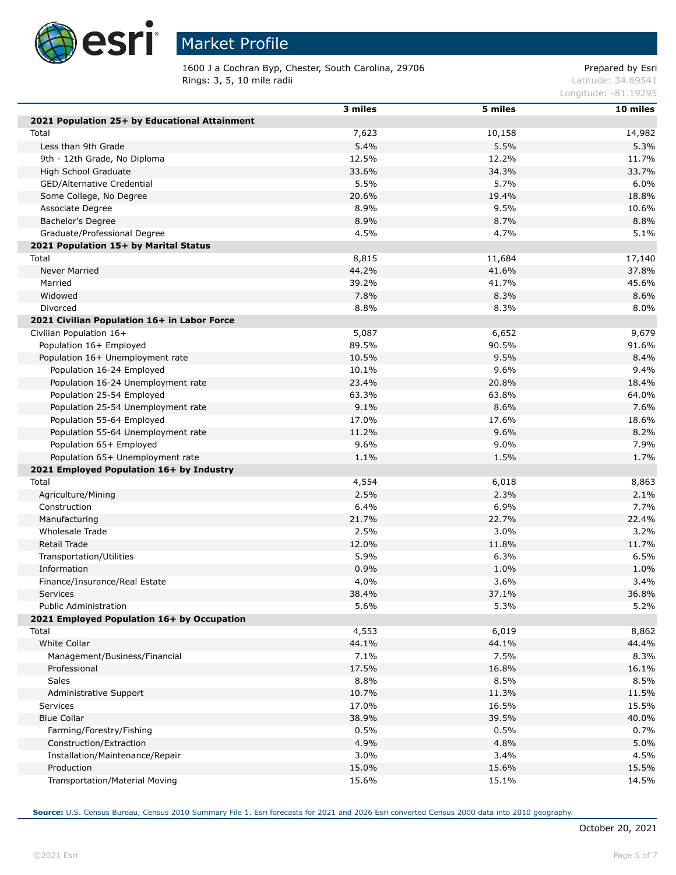

Г

Г

Г

# Market Profile

1600 J a Cochran Byp, Chester, South Carolina, 29706 Prepared by Esri **Rings: 3, 5, 10 mile radii** Latitude: 34.69541

Longitude: -81.19295

|                                               | 3 miles       | 5 miles       | 10 miles |
|-----------------------------------------------|---------------|---------------|----------|
| 2021 Population 25+ by Educational Attainment |               |               |          |
| Total                                         | 7,623         | 10,158        | 14,982   |
| Less than 9th Grade                           | 5.4%          | 5.5%          | 5.3%     |
| 9th - 12th Grade, No Diploma                  | 12.5%         | 12.2%         | 11.7%    |
|                                               |               |               |          |
| High School Graduate                          | 33.6%<br>5.5% | 34.3%<br>5.7% | 33.7%    |
| GED/Alternative Credential                    |               |               | 6.0%     |
| Some College, No Degree                       | 20.6%         | 19.4%         | 18.8%    |
| Associate Degree                              | 8.9%          | 9.5%          | 10.6%    |
| Bachelor's Degree                             | 8.9%          | 8.7%          | 8.8%     |
| Graduate/Professional Degree                  | 4.5%          | 4.7%          | 5.1%     |
| 2021 Population 15+ by Marital Status         |               |               |          |
| Total                                         | 8,815         | 11,684        | 17,140   |
| Never Married                                 | 44.2%         | 41.6%         | 37.8%    |
| Married                                       | 39.2%         | 41.7%         | 45.6%    |
| Widowed                                       | 7.8%          | 8.3%          | 8.6%     |
| Divorced                                      | 8.8%          | 8.3%          | 8.0%     |
| 2021 Civilian Population 16+ in Labor Force   |               |               |          |
| Civilian Population 16+                       | 5,087         | 6,652         | 9,679    |
| Population 16+ Employed                       | 89.5%         | 90.5%         | 91.6%    |
| Population 16+ Unemployment rate              | 10.5%         | 9.5%          | 8.4%     |
| Population 16-24 Employed                     | 10.1%         | 9.6%          | 9.4%     |
| Population 16-24 Unemployment rate            | 23.4%         | 20.8%         | 18.4%    |
| Population 25-54 Employed                     | 63.3%         | 63.8%         | 64.0%    |
| Population 25-54 Unemployment rate            | 9.1%          | 8.6%          | 7.6%     |
| Population 55-64 Employed                     | 17.0%         | 17.6%         | 18.6%    |
| Population 55-64 Unemployment rate            | 11.2%         | 9.6%          | 8.2%     |
| Population 65+ Employed                       | 9.6%          | $9.0\%$       | 7.9%     |
| Population 65+ Unemployment rate              | 1.1%          | 1.5%          | 1.7%     |
| 2021 Employed Population 16+ by Industry      |               |               |          |
| Total                                         | 4,554         | 6,018         | 8,863    |
| Agriculture/Mining                            | 2.5%          | 2.3%          | 2.1%     |
| Construction                                  | 6.4%          | 6.9%          | 7.7%     |
| Manufacturing                                 | 21.7%         | 22.7%         | 22.4%    |
| Wholesale Trade                               | 2.5%          | 3.0%          | 3.2%     |
| Retail Trade                                  | 12.0%         | 11.8%         | 11.7%    |
| Transportation/Utilities                      | 5.9%          | 6.3%          | 6.5%     |
| Information                                   | 0.9%          | 1.0%          | 1.0%     |
| Finance/Insurance/Real Estate                 | 4.0%          | 3.6%          | 3.4%     |
| Services                                      | 38.4%         | 37.1%         | 36.8%    |
| <b>Public Administration</b>                  | 5.6%          | 5.3%          | 5.2%     |
| 2021 Employed Population 16+ by Occupation    |               |               |          |
| Total                                         | 4,553         | 6,019         | 8,862    |
| White Collar                                  | 44.1%         | 44.1%         | 44.4%    |
| Management/Business/Financial                 | 7.1%          | 7.5%          | 8.3%     |
| Professional                                  | 17.5%         | 16.8%         | 16.1%    |
| <b>Sales</b>                                  | 8.8%          | 8.5%          | 8.5%     |
|                                               | 10.7%         | 11.3%         | 11.5%    |
| Administrative Support                        |               |               |          |
| <b>Services</b>                               | 17.0%         | 16.5%         | 15.5%    |
| <b>Blue Collar</b>                            | 38.9%         | 39.5%         | 40.0%    |
| Farming/Forestry/Fishing                      | 0.5%          | 0.5%          | 0.7%     |
| Construction/Extraction                       | 4.9%          | 4.8%          | 5.0%     |
| Installation/Maintenance/Repair               | 3.0%          | 3.4%          | 4.5%     |
| Production                                    | 15.0%         | 15.6%         | 15.5%    |
| Transportation/Material Moving                | 15.6%         | 15.1%         | 14.5%    |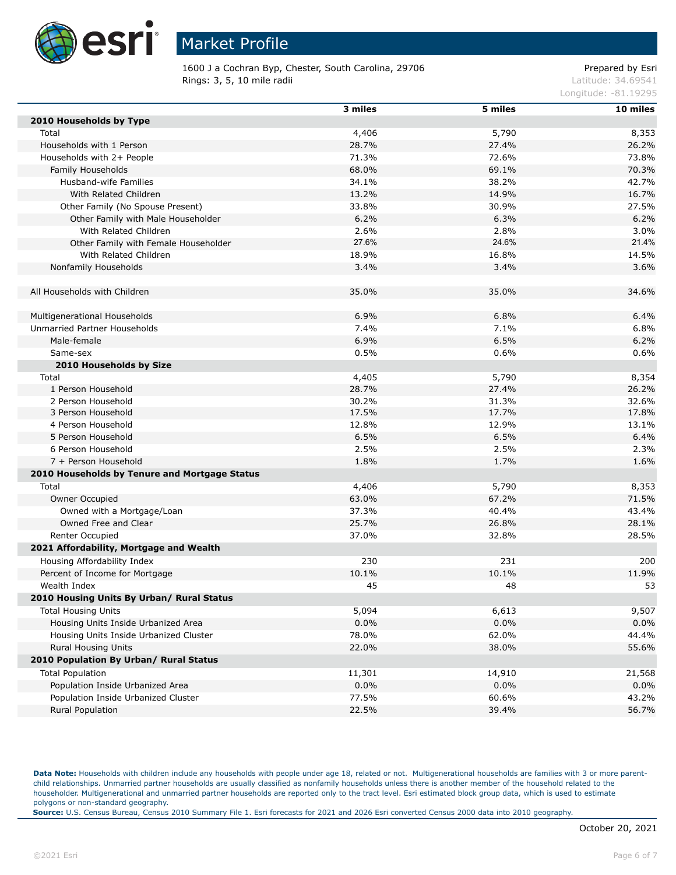

1600 J a Cochran Byp, Chester, South Carolina, 29706 Prepared by Esri Rings: 3, 5, 10 mile radii and the contract of the contract of the contract of the contract of the contract of the contract of the contract of the contract of the contract of the contract of the contract of the contract of

Longitude: -81.19295

|                                               | 3 miles | 5 miles | 10 miles |
|-----------------------------------------------|---------|---------|----------|
| 2010 Households by Type                       |         |         |          |
| Total                                         | 4,406   | 5,790   | 8,353    |
| Households with 1 Person                      | 28.7%   | 27.4%   | 26.2%    |
| Households with 2+ People                     | 71.3%   | 72.6%   | 73.8%    |
| Family Households                             | 68.0%   | 69.1%   | 70.3%    |
| Husband-wife Families                         | 34.1%   | 38.2%   | 42.7%    |
| With Related Children                         | 13.2%   | 14.9%   | 16.7%    |
| Other Family (No Spouse Present)              | 33.8%   | 30.9%   | 27.5%    |
| Other Family with Male Householder            | 6.2%    | 6.3%    | 6.2%     |
| With Related Children                         | 2.6%    | 2.8%    | 3.0%     |
| Other Family with Female Householder          | 27.6%   | 24.6%   | 21.4%    |
| With Related Children                         | 18.9%   | 16.8%   | 14.5%    |
| Nonfamily Households                          | 3.4%    | 3.4%    | 3.6%     |
|                                               |         |         |          |
| All Households with Children                  | 35.0%   | 35.0%   | 34.6%    |
|                                               |         |         |          |
| Multigenerational Households                  | 6.9%    | 6.8%    | 6.4%     |
| Unmarried Partner Households                  | 7.4%    | 7.1%    | 6.8%     |
| Male-female                                   | 6.9%    | 6.5%    | 6.2%     |
| Same-sex                                      | 0.5%    | 0.6%    | 0.6%     |
| 2010 Households by Size                       |         |         |          |
| Total                                         | 4,405   | 5,790   | 8,354    |
| 1 Person Household                            | 28.7%   | 27.4%   | 26.2%    |
| 2 Person Household                            | 30.2%   | 31.3%   | 32.6%    |
| 3 Person Household                            | 17.5%   | 17.7%   | 17.8%    |
| 4 Person Household                            | 12.8%   | 12.9%   | 13.1%    |
| 5 Person Household                            | 6.5%    | 6.5%    | 6.4%     |
| 6 Person Household                            | 2.5%    | 2.5%    | 2.3%     |
| 7 + Person Household                          | 1.8%    | 1.7%    | 1.6%     |
| 2010 Households by Tenure and Mortgage Status |         |         |          |
| Total                                         | 4,406   | 5,790   | 8,353    |
| Owner Occupied                                | 63.0%   | 67.2%   | 71.5%    |
| Owned with a Mortgage/Loan                    | 37.3%   | 40.4%   | 43.4%    |
| Owned Free and Clear                          | 25.7%   | 26.8%   | 28.1%    |
|                                               | 37.0%   |         | 28.5%    |
| Renter Occupied                               |         | 32.8%   |          |
| 2021 Affordability, Mortgage and Wealth       |         |         |          |
| Housing Affordability Index                   | 230     | 231     | 200      |
| Percent of Income for Mortgage                | 10.1%   | 10.1%   | 11.9%    |
| Wealth Index                                  | 45      | 48      | 53       |
| 2010 Housing Units By Urban/ Rural Status     |         |         |          |
| <b>Total Housing Units</b>                    | 5,094   | 6,613   | 9,507    |
| Housing Units Inside Urbanized Area           | 0.0%    | 0.0%    | 0.0%     |
| Housing Units Inside Urbanized Cluster        | 78.0%   | 62.0%   | 44.4%    |
| Rural Housing Units                           | 22.0%   | 38.0%   | 55.6%    |
| 2010 Population By Urban/ Rural Status        |         |         |          |
| <b>Total Population</b>                       | 11,301  | 14,910  | 21,568   |
| Population Inside Urbanized Area              | $0.0\%$ | 0.0%    | 0.0%     |
| Population Inside Urbanized Cluster           | 77.5%   | 60.6%   | 43.2%    |
| Rural Population                              | 22.5%   | 39.4%   | 56.7%    |

Data Note: Households with children include any households with people under age 18, related or not. Multigenerational households are families with 3 or more parentchild relationships. Unmarried partner households are usually classified as nonfamily households unless there is another member of the household related to the householder. Multigenerational and unmarried partner households are reported only to the tract level. Esri estimated block group data, which is used to estimate polygons or non-standard geography.